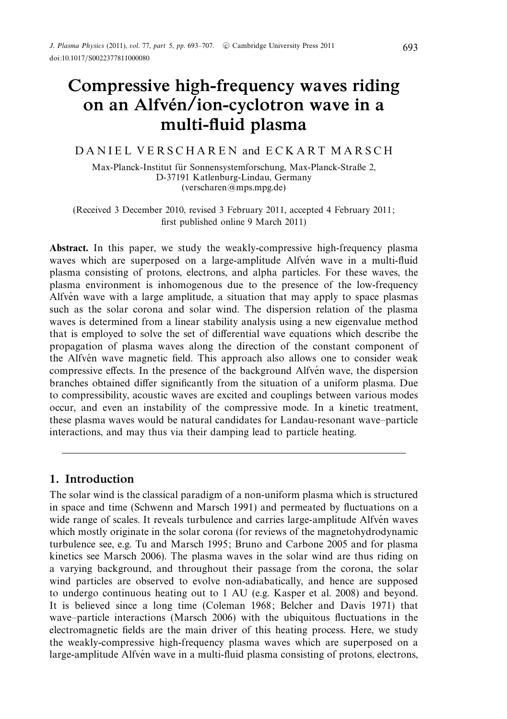# *Compressive high-frequency waves riding on an Alfven/ion-cyclotron wave in a ´ multi-fluid plasma*

# DANIEL VERSCHAREN and ECKART MARSCH

Max-Planck-Institut für Sonnensystemforschung, Max-Planck-Straße 2, D-37191 Katlenburg-Lindau, Germany (verscharen@mps.mpg.de)

(Received 3 December 2010, revised 3 February 2011, accepted 4 February 2011; first published online 9 March 2011)

**Abstract.** In this paper, we study the weakly-compressive high-frequency plasma waves which are superposed on a large-amplitude Alfvén wave in a multi-fluid plasma consisting of protons, electrons, and alpha particles. For these waves, the plasma environment is inhomogenous due to the presence of the low-frequency Alfvén wave with a large amplitude, a situation that may apply to space plasmas such as the solar corona and solar wind. The dispersion relation of the plasma waves is determined from a linear stability analysis using a new eigenvalue method that is employed to solve the set of differential wave equations which describe the propagation of plasma waves along the direction of the constant component of the Alfvén wave magnetic field. This approach also allows one to consider weak compressive effects. In the presence of the background Alfvén wave, the dispersion branches obtained differ significantly from the situation of a uniform plasma. Due to compressibility, acoustic waves are excited and couplings between various modes occur, and even an instability of the compressive mode. In a kinetic treatment, these plasma waves would be natural candidates for Landau-resonant wave–particle interactions, and may thus via their damping lead to particle heating.

# *1. Introduction*

The solar wind is the classical paradigm of a non-uniform plasma which is structured in space and time (Schwenn and Marsch 1991) and permeated by fluctuations on a wide range of scales. It reveals turbulence and carries large-amplitude Alfvén waves which mostly originate in the solar corona (for reviews of the magnetohydrodynamic turbulence see, e.g. Tu and Marsch 1995; Bruno and Carbone 2005 and for plasma kinetics see Marsch 2006). The plasma waves in the solar wind are thus riding on a varying background, and throughout their passage from the corona, the solar wind particles are observed to evolve non-adiabatically, and hence are supposed to undergo continuous heating out to 1 AU (e.g. Kasper et al. 2008) and beyond. It is believed since a long time (Coleman 1968; Belcher and Davis 1971) that wave–particle interactions (Marsch 2006) with the ubiquitous fluctuations in the electromagnetic fields are the main driver of this heating process. Here, we study the weakly-compressive high-frequency plasma waves which are superposed on a large-amplitude Alfvén wave in a multi-fluid plasma consisting of protons, electrons,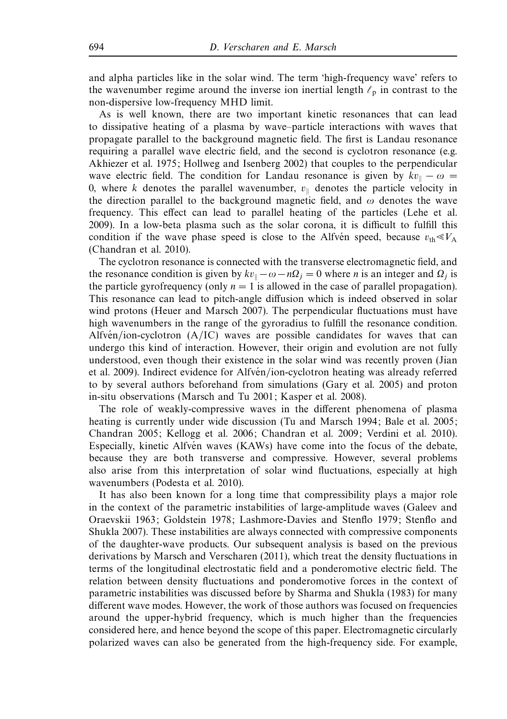and alpha particles like in the solar wind. The term 'high-frequency wave' refers to the wavenumber regime around the inverse ion inertial length  $\ell_p$  in contrast to the non-dispersive low-frequency MHD limit.

As is well known, there are two important kinetic resonances that can lead to dissipative heating of a plasma by wave–particle interactions with waves that propagate parallel to the background magnetic field. The first is Landau resonance requiring a parallel wave electric field, and the second is cyclotron resonance (e.g. Akhiezer et al. 1975; Hollweg and Isenberg 2002) that couples to the perpendicular wave electric field. The condition for Landau resonance is given by  $kv_{\parallel} - \omega =$ 0, where *k* denotes the parallel wavenumber,  $v_{\parallel}$  denotes the particle velocity in the direction parallel to the background magnetic field, and *ω* denotes the wave frequency. This effect can lead to parallel heating of the particles (Lehe et al. 2009). In a low-beta plasma such as the solar corona, it is difficult to fulfill this condition if the wave phase speed is close to the Alfven speed, because  $v_{\text{th}} \ll V_A$ (Chandran et al. 2010).

The cyclotron resonance is connected with the transverse electromagnetic field, and the resonance condition is given by  $kv_{\parallel} - \omega - n\Omega_j = 0$  where *n* is an integer and  $\Omega_j$  is the particle gyrofrequency (only  $n = 1$  is allowed in the case of parallel propagation). This resonance can lead to pitch-angle diffusion which is indeed observed in solar wind protons (Heuer and Marsch 2007). The perpendicular fluctuations must have high wavenumbers in the range of the gyroradius to fulfill the resonance condition. Alfven/ion-cyclotron  $(A/IC)$  waves are possible candidates for waves that can undergo this kind of interaction. However, their origin and evolution are not fully understood, even though their existence in the solar wind was recently proven (Jian et al. 2009). Indirect evidence for Alfvén/ion-cyclotron heating was already referred to by several authors beforehand from simulations (Gary et al. 2005) and proton in-situ observations (Marsch and Tu 2001; Kasper et al. 2008).

The role of weakly-compressive waves in the different phenomena of plasma heating is currently under wide discussion (Tu and Marsch 1994; Bale et al. 2005; Chandran 2005; Kellogg et al. 2006; Chandran et al. 2009; Verdini et al. 2010). Especially, kinetic Alfvén waves (KAWs) have come into the focus of the debate, because they are both transverse and compressive. However, several problems also arise from this interpretation of solar wind fluctuations, especially at high wavenumbers (Podesta et al. 2010).

It has also been known for a long time that compressibility plays a major role in the context of the parametric instabilities of large-amplitude waves (Galeev and Oraevskii 1963; Goldstein 1978; Lashmore-Davies and Stenflo 1979; Stenflo and Shukla 2007). These instabilities are always connected with compressive components of the daughter-wave products. Our subsequent analysis is based on the previous derivations by Marsch and Verscharen (2011), which treat the density fluctuations in terms of the longitudinal electrostatic field and a ponderomotive electric field. The relation between density fluctuations and ponderomotive forces in the context of parametric instabilities was discussed before by Sharma and Shukla (1983) for many different wave modes. However, the work of those authors was focused on frequencies around the upper-hybrid frequency, which is much higher than the frequencies considered here, and hence beyond the scope of this paper. Electromagnetic circularly polarized waves can also be generated from the high-frequency side. For example,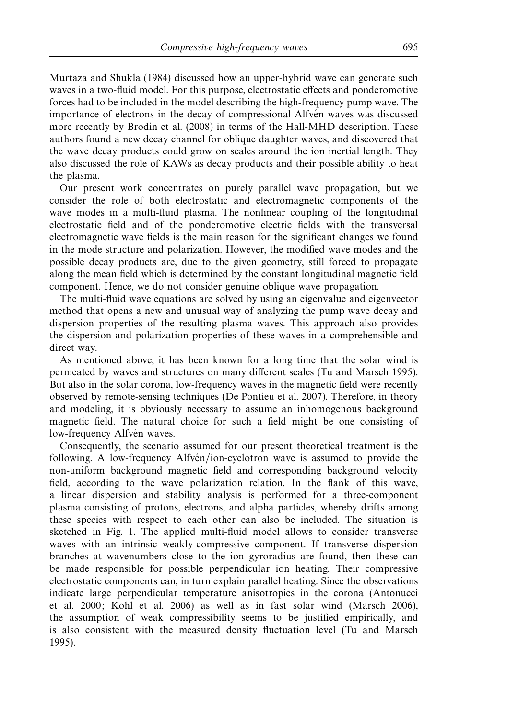Murtaza and Shukla (1984) discussed how an upper-hybrid wave can generate such waves in a two-fluid model. For this purpose, electrostatic effects and ponderomotive forces had to be included in the model describing the high-frequency pump wave. The importance of electrons in the decay of compressional Alfvén waves was discussed more recently by Brodin et al. (2008) in terms of the Hall-MHD description. These authors found a new decay channel for oblique daughter waves, and discovered that the wave decay products could grow on scales around the ion inertial length. They also discussed the role of KAWs as decay products and their possible ability to heat the plasma.

Our present work concentrates on purely parallel wave propagation, but we consider the role of both electrostatic and electromagnetic components of the wave modes in a multi-fluid plasma. The nonlinear coupling of the longitudinal electrostatic field and of the ponderomotive electric fields with the transversal electromagnetic wave fields is the main reason for the significant changes we found in the mode structure and polarization. However, the modified wave modes and the possible decay products are, due to the given geometry, still forced to propagate along the mean field which is determined by the constant longitudinal magnetic field component. Hence, we do not consider genuine oblique wave propagation.

The multi-fluid wave equations are solved by using an eigenvalue and eigenvector method that opens a new and unusual way of analyzing the pump wave decay and dispersion properties of the resulting plasma waves. This approach also provides the dispersion and polarization properties of these waves in a comprehensible and direct way.

As mentioned above, it has been known for a long time that the solar wind is permeated by waves and structures on many different scales (Tu and Marsch 1995). But also in the solar corona, low-frequency waves in the magnetic field were recently observed by remote-sensing techniques (De Pontieu et al. 2007). Therefore, in theory and modeling, it is obviously necessary to assume an inhomogenous background magnetic field. The natural choice for such a field might be one consisting of low-frequency Alfvén waves.

Consequently, the scenario assumed for our present theoretical treatment is the following. A low-frequency Alfvén/ion-cyclotron wave is assumed to provide the non-uniform background magnetic field and corresponding background velocity field, according to the wave polarization relation. In the flank of this wave, a linear dispersion and stability analysis is performed for a three-component plasma consisting of protons, electrons, and alpha particles, whereby drifts among these species with respect to each other can also be included. The situation is sketched in Fig. 1. The applied multi-fluid model allows to consider transverse waves with an intrinsic weakly-compressive component. If transverse dispersion branches at wavenumbers close to the ion gyroradius are found, then these can be made responsible for possible perpendicular ion heating. Their compressive electrostatic components can, in turn explain parallel heating. Since the observations indicate large perpendicular temperature anisotropies in the corona (Antonucci et al. 2000; Kohl et al. 2006) as well as in fast solar wind (Marsch 2006), the assumption of weak compressibility seems to be justified empirically, and is also consistent with the measured density fluctuation level (Tu and Marsch 1995).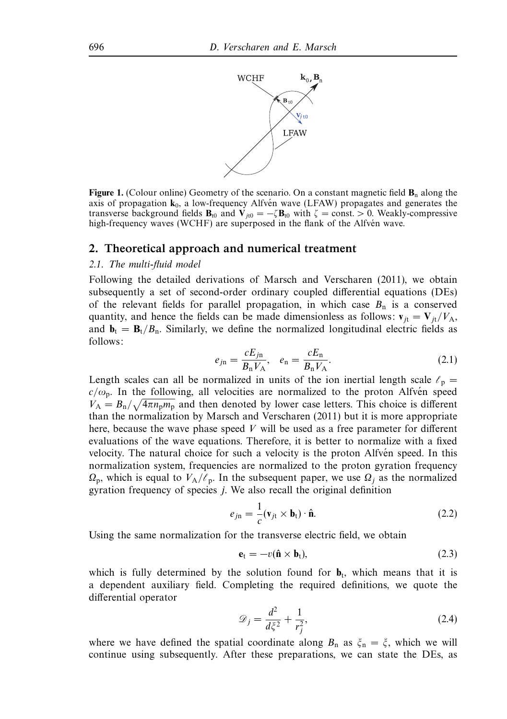

**Figure 1.** (Colour online) Geometry of the scenario. On a constant magnetic field  $\mathbf{B}_n$  along the axis of propagation  $\mathbf{k}_0$ , a low-frequency Alfvén wave (LFAW) propagates and generates the transverse background fields  $\mathbf{B}_{t0}$  and  $\mathbf{V}_{jt0} = -\zeta \mathbf{B}_{t0}$  with  $\zeta = \text{const.} > 0$ . Weakly-compressive high-frequency waves (WCHF) are superposed in the flank of the Alfven wave.

#### *2. Theoretical approach and numerical treatment*

#### 2.1. The multi-fluid model

Following the detailed derivations of Marsch and Verscharen (2011), we obtain subsequently a set of second-order ordinary coupled differential equations (DEs) of the relevant fields for parallel propagation, in which case  $B_n$  is a conserved quantity, and hence the fields can be made dimensionless as follows:  $\mathbf{v}_{it} = \mathbf{V}_{it}/V_A$ , and  $\mathbf{b}_t = \mathbf{B}_t/B_n$ . Similarly, we define the normalized longitudinal electric fields as follows:

$$
e_{j n} = \frac{c E_{j n}}{B_n V_A}, \quad e_n = \frac{c E_n}{B_n V_A}.
$$
 (2.1)

Length scales can all be normalized in units of the ion inertial length scale  $\ell_p$  =  $c/\omega_p$ . In the following, all velocities are normalized to the proton Alfven speed  $V_A = B_n / \sqrt{4\pi n_p m_p}$  and then denoted by lower case letters. This choice is different than the normalization by Marsch and Verscharen (2011) but it is more appropriate here, because the wave phase speed *V* will be used as a free parameter for different evaluations of the wave equations. Therefore, it is better to normalize with a fixed velocity. The natural choice for such a velocity is the proton Alfvén speed. In this normalization system, frequencies are normalized to the proton gyration frequency *Ω*<sub>p</sub>, which is equal to  $V_A/\ell_p$ . In the subsequent paper, we use  $Ω<sub>j</sub>$  as the normalized gyration frequency of species *j*. We also recall the original definition

$$
e_{j\mathbf{n}} = \frac{1}{c} (\mathbf{v}_{j\mathbf{t}} \times \mathbf{b}_{\mathbf{t}}) \cdot \hat{\mathbf{n}}.
$$
 (2.2)

Using the same normalization for the transverse electric field, we obtain

$$
\mathbf{e}_{t} = -v(\hat{\mathbf{n}} \times \mathbf{b}_{t}), \qquad (2.3)
$$

which is fully determined by the solution found for  $\mathbf{b}_t$ , which means that it is a dependent auxiliary field. Completing the required definitions, we quote the differential operator

$$
\mathcal{D}_j = \frac{d^2}{d\xi^2} + \frac{1}{r_j^2},\tag{2.4}
$$

where we have defined the spatial coordinate along  $B_n$  as  $\zeta_n = \zeta$ , which we will continue using subsequently. After these preparations, we can state the DEs, as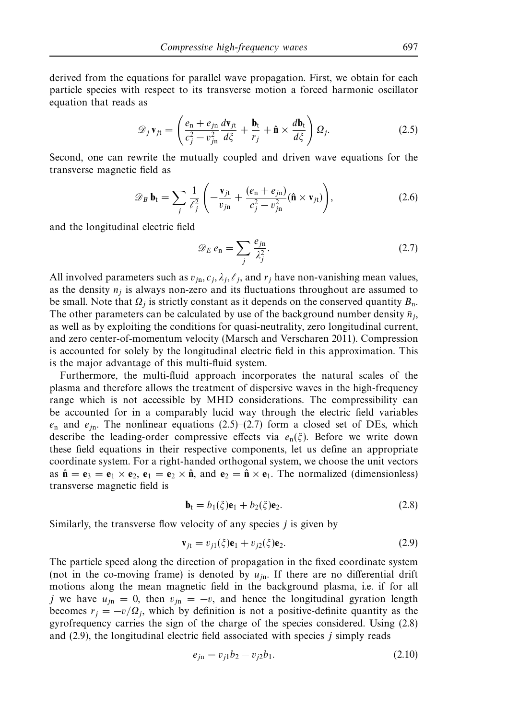derived from the equations for parallel wave propagation. First, we obtain for each particle species with respect to its transverse motion a forced harmonic oscillator equation that reads as

$$
\mathcal{D}_j \mathbf{v}_{jt} = \left( \frac{e_n + e_{jn}}{c_j^2 - v_{jn}^2} \frac{d\mathbf{v}_{jt}}{d\xi} + \frac{\mathbf{b}_t}{r_j} + \hat{\mathbf{n}} \times \frac{d\mathbf{b}_t}{d\xi} \right) \Omega_j.
$$
 (2.5)

Second, one can rewrite the mutually coupled and driven wave equations for the transverse magnetic field as

$$
\mathscr{D}_B \mathbf{b}_t = \sum_j \frac{1}{\ell_j^2} \left( -\frac{\mathbf{v}_{jt}}{v_{jn}} + \frac{(e_n + e_{jn})}{c_j^2 - v_{jn}^2} (\hat{\mathbf{n}} \times \mathbf{v}_{jt}) \right), \tag{2.6}
$$

and the longitudinal electric field

$$
\mathscr{D}_E e_n = \sum_j \frac{e_{jn}}{\lambda_j^2}.
$$
 (2.7)

All involved parameters such as  $v_{jn}$ ,  $c_j$ ,  $\lambda_j$ ,  $\ell_j$ , and  $r_j$  have non-vanishing mean values, as the density  $n_i$  is always non-zero and its fluctuations throughout are assumed to be small. Note that *Ωj* is strictly constant as it depends on the conserved quantity *B*n. The other parameters can be calculated by use of the background number density  $\bar{n}_i$ , as well as by exploiting the conditions for quasi-neutrality, zero longitudinal current, and zero center-of-momentum velocity (Marsch and Verscharen 2011). Compression is accounted for solely by the longitudinal electric field in this approximation. This is the major advantage of this multi-fluid system.

Furthermore, the multi-fluid approach incorporates the natural scales of the plasma and therefore allows the treatment of dispersive waves in the high-frequency range which is not accessible by MHD considerations. The compressibility can be accounted for in a comparably lucid way through the electric field variables  $e_n$  and  $e_{in}$ . The nonlinear equations (2.5)–(2.7) form a closed set of DEs, which describe the leading-order compressive effects via *e*n(*ξ*). Before we write down these field equations in their respective components, let us define an appropriate coordinate system. For a right-handed orthogonal system, we choose the unit vectors as  $\hat{\mathbf{n}} = \mathbf{e}_3 = \mathbf{e}_1 \times \mathbf{e}_2$ ,  $\mathbf{e}_1 = \mathbf{e}_2 \times \hat{\mathbf{n}}$ , and  $\mathbf{e}_2 = \hat{\mathbf{n}} \times \mathbf{e}_1$ . The normalized (dimensionless) transverse magnetic field is

$$
\mathbf{b}_{t} = b_{1}(\xi)\mathbf{e}_{1} + b_{2}(\xi)\mathbf{e}_{2}.
$$
 (2.8)

Similarly, the transverse flow velocity of any species *j* is given by

$$
\mathbf{v}_{j t} = v_{j 1}(\xi) \mathbf{e}_1 + v_{j 2}(\xi) \mathbf{e}_2. \tag{2.9}
$$

The particle speed along the direction of propagation in the fixed coordinate system (not in the co-moving frame) is denoted by  $u_{in}$ . If there are no differential drift motions along the mean magnetic field in the background plasma, i.e. if for all *j* we have  $u_{in} = 0$ , then  $v_{in} = -v$ , and hence the longitudinal gyration length becomes  $r_i = -\frac{v}{\Omega_i}$ , which by definition is not a positive-definite quantity as the gyrofrequency carries the sign of the charge of the species considered. Using (2.8) and (2.9), the longitudinal electric field associated with species *j* simply reads

$$
e_{j\mathbf{n}} = v_{j1}b_2 - v_{j2}b_1. \tag{2.10}
$$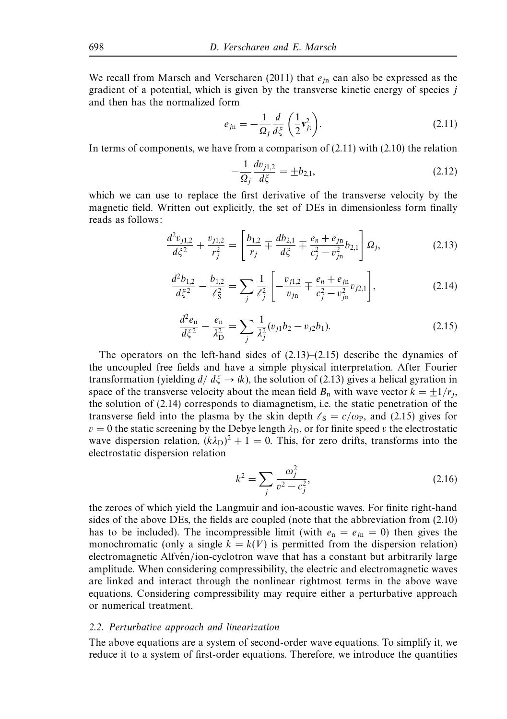We recall from Marsch and Verscharen (2011) that  $e_{in}$  can also be expressed as the gradient of a potential, which is given by the transverse kinetic energy of species *j* and then has the normalized form

$$
e_{jn} = -\frac{1}{\Omega_j} \frac{d}{d\xi} \left( \frac{1}{2} \mathbf{v}_{jt}^2 \right). \tag{2.11}
$$

In terms of components, we have from a comparison of (2.11) with (2.10) the relation

$$
-\frac{1}{\Omega_j} \frac{dv_{j1,2}}{d\xi} = \pm b_{2,1},\tag{2.12}
$$

which we can use to replace the first derivative of the transverse velocity by the magnetic field. Written out explicitly, the set of DEs in dimensionless form finally reads as follows:

$$
\frac{d^2v_{j1,2}}{d\xi^2} + \frac{v_{j1,2}}{r_j^2} = \left[\frac{b_{1,2}}{r_j} \mp \frac{db_{2,1}}{d\xi} \mp \frac{e_n + e_{jn}}{c_j^2 - v_{jn}^2} b_{2,1}\right] \Omega_j,
$$
\n(2.13)

$$
\frac{d^2b_{1,2}}{d\xi^2} - \frac{b_{1,2}}{\ell_S^2} = \sum_j \frac{1}{\ell_j^2} \left[ -\frac{v_{j1,2}}{v_{j\mathrm{n}}} \mp \frac{e_n + e_{j\mathrm{n}}}{c_j^2 - v_{j\mathrm{n}}^2} v_{j2,1} \right],\tag{2.14}
$$

$$
\frac{d^2e_n}{d\xi^2} - \frac{e_n}{\lambda_D^2} = \sum_j \frac{1}{\lambda_j^2} (v_{j1}b_2 - v_{j2}b_1).
$$
 (2.15)

The operators on the left-hand sides of  $(2.13)$ – $(2.15)$  describe the dynamics of the uncoupled free fields and have a simple physical interpretation. After Fourier transformation (yielding  $d/d\xi \rightarrow ik$ ), the solution of (2.13) gives a helical gyration in space of the transverse velocity about the mean field  $B_n$  with wave vector  $k = \pm 1/r_i$ , the solution of (2.14) corresponds to diamagnetism, i.e. the static penetration of the transverse field into the plasma by the skin depth  $\ell_s = c/\omega_P$ , and (2.15) gives for  $v = 0$  the static screening by the Debye length  $\lambda_{\text{D}}$ , or for finite speed *v* the electrostatic wave dispersion relation,  $(k\lambda_D)^2 + 1 = 0$ . This, for zero drifts, transforms into the electrostatic dispersion relation

$$
k^2 = \sum_{j} \frac{\omega_j^2}{v^2 - c_j^2},
$$
\n(2.16)

the zeroes of which yield the Langmuir and ion-acoustic waves. For finite right-hand sides of the above DEs, the fields are coupled (note that the abbreviation from (2.10) has to be included). The incompressible limit (with  $e_n = e_{in} = 0$ ) then gives the monochromatic (only a single  $k = k(V)$  is permitted from the dispersion relation) electromagnetic Alfvén/ion-cyclotron wave that has a constant but arbitrarily large amplitude. When considering compressibility, the electric and electromagnetic waves are linked and interact through the nonlinear rightmost terms in the above wave equations. Considering compressibility may require either a perturbative approach or numerical treatment.

#### 2.2. Perturbative approach and linearization

The above equations are a system of second-order wave equations. To simplify it, we reduce it to a system of first-order equations. Therefore, we introduce the quantities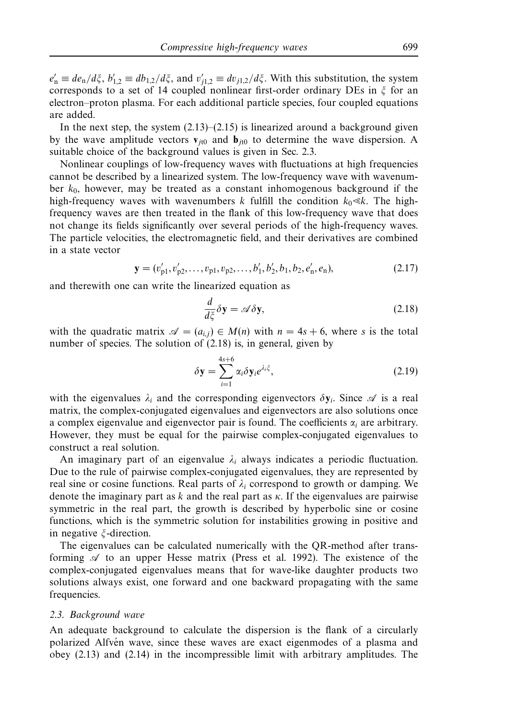$e'_{n} \equiv de_{n}/d\xi, b'_{1,2} \equiv db_{1,2}/d\xi$ , and  $v'_{j1,2} \equiv dv_{j1,2}/d\xi$ . With this substitution, the system corresponds to a set of 14 coupled nonlinear first-order ordinary DEs in *ξ* for an electron–proton plasma. For each additional particle species, four coupled equations are added.

In the next step, the system  $(2.13)$ – $(2.15)$  is linearized around a background given by the wave amplitude vectors  $\mathbf{v}_{i0}$  and  $\mathbf{b}_{i0}$  to determine the wave dispersion. A suitable choice of the background values is given in Sec. 2.3.

Nonlinear couplings of low-frequency waves with fluctuations at high frequencies cannot be described by a linearized system. The low-frequency wave with wavenumber  $k_0$ , however, may be treated as a constant inhomogenous background if the high-frequency waves with wavenumbers *k* fulfill the condition  $k_0 \ll k$ . The highfrequency waves are then treated in the flank of this low-frequency wave that does not change its fields significantly over several periods of the high-frequency waves. The particle velocities, the electromagnetic field, and their derivatives are combined in a state vector

$$
\mathbf{y} = (v'_{p1}, v'_{p2}, \dots, v_{p1}, v_{p2}, \dots, b'_1, b'_2, b_1, b_2, e'_n, e_n),
$$
 (2.17)

and therewith one can write the linearized equation as

$$
\frac{d}{d\xi}\delta\mathbf{y} = \mathscr{A}\delta\mathbf{y},\tag{2.18}
$$

with the quadratic matrix  $\mathcal{A} = (a_{i,j}) \in M(n)$  with  $n = 4s + 6$ , where *s* is the total number of species. The solution of (2.18) is, in general, given by

$$
\delta \mathbf{y} = \sum_{i=1}^{4s+6} \alpha_i \delta \mathbf{y}_i e^{\lambda_i \xi}, \tag{2.19}
$$

with the eigenvalues  $\lambda_i$  and the corresponding eigenvectors  $\delta y_i$ . Since  $\mathscr A$  is a real matrix, the complex-conjugated eigenvalues and eigenvectors are also solutions once a complex eigenvalue and eigenvector pair is found. The coefficients  $\alpha_i$  are arbitrary. However, they must be equal for the pairwise complex-conjugated eigenvalues to construct a real solution.

An imaginary part of an eigenvalue  $\lambda_i$  always indicates a periodic fluctuation. Due to the rule of pairwise complex-conjugated eigenvalues, they are represented by real sine or cosine functions. Real parts of  $\lambda_i$  correspond to growth or damping. We denote the imaginary part as *k* and the real part as *κ*. If the eigenvalues are pairwise symmetric in the real part, the growth is described by hyperbolic sine or cosine functions, which is the symmetric solution for instabilities growing in positive and in negative *ξ*-direction.

The eigenvalues can be calculated numerically with the QR-method after transforming  $\mathscr A$  to an upper Hesse matrix (Press et al. 1992). The existence of the complex-conjugated eigenvalues means that for wave-like daughter products two solutions always exist, one forward and one backward propagating with the same frequencies.

#### 2.3. Background wave

An adequate background to calculate the dispersion is the flank of a circularly polarized Alfven wave, since these waves are exact eigenmodes of a plasma and ´ obey (2.13) and (2.14) in the incompressible limit with arbitrary amplitudes. The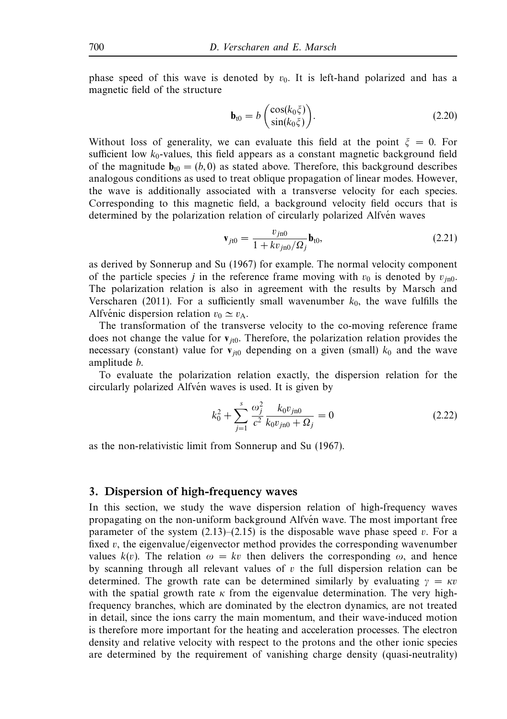phase speed of this wave is denoted by  $v_0$ . It is left-hand polarized and has a magnetic field of the structure

$$
\mathbf{b}_{\mathrm{t0}} = b \begin{pmatrix} \cos(k_0 \xi) \\ \sin(k_0 \xi) \end{pmatrix} . \tag{2.20}
$$

Without loss of generality, we can evaluate this field at the point  $\xi = 0$ . For sufficient low  $k_0$ -values, this field appears as a constant magnetic background field of the magnitude  $\mathbf{b}_{10} = (b, 0)$  as stated above. Therefore, this background describes analogous conditions as used to treat oblique propagation of linear modes. However, the wave is additionally associated with a transverse velocity for each species. Corresponding to this magnetic field, a background velocity field occurs that is determined by the polarization relation of circularly polarized Alfvén waves

$$
\mathbf{v}_{j\text{t0}} = \frac{v_{j\text{n0}}}{1 + kv_{j\text{n0}}/\Omega_j} \mathbf{b}_{\text{t0}},\tag{2.21}
$$

as derived by Sonnerup and Su (1967) for example. The normal velocity component of the particle species *j* in the reference frame moving with  $v_0$  is denoted by  $v_{in0}$ . The polarization relation is also in agreement with the results by Marsch and Verscharen (2011). For a sufficiently small wavenumber  $k_0$ , the wave fulfills the Alfvénic dispersion relation  $v_0 \simeq v_A$ .

The transformation of the transverse velocity to the co-moving reference frame does not change the value for  $\mathbf{v}_{i0}$ . Therefore, the polarization relation provides the necessary (constant) value for  $\mathbf{v}_{i0}$  depending on a given (small)  $k_0$  and the wave amplitude *b*.

To evaluate the polarization relation exactly, the dispersion relation for the circularly polarized Alfvén waves is used. It is given by

$$
k_0^2 + \sum_{j=1}^s \frac{\omega_j^2}{c^2} \frac{k_0 v_{j00}}{k_0 v_{j00} + \Omega_j} = 0
$$
\n(2.22)

as the non-relativistic limit from Sonnerup and Su (1967).

#### *3. Dispersion of high-frequency waves*

In this section, we study the wave dispersion relation of high-frequency waves propagating on the non-uniform background Alfvén wave. The most important free parameter of the system  $(2.13)$ – $(2.15)$  is the disposable wave phase speed *v*. For a fixed *v*, the eigenvalue/eigenvector method provides the corresponding wavenumber values  $k(v)$ . The relation  $\omega = kv$  then delivers the corresponding  $\omega$ , and hence by scanning through all relevant values of  $v$  the full dispersion relation can be determined. The growth rate can be determined similarly by evaluating  $\gamma = \kappa v$ with the spatial growth rate  $\kappa$  from the eigenvalue determination. The very highfrequency branches, which are dominated by the electron dynamics, are not treated in detail, since the ions carry the main momentum, and their wave-induced motion is therefore more important for the heating and acceleration processes. The electron density and relative velocity with respect to the protons and the other ionic species are determined by the requirement of vanishing charge density (quasi-neutrality)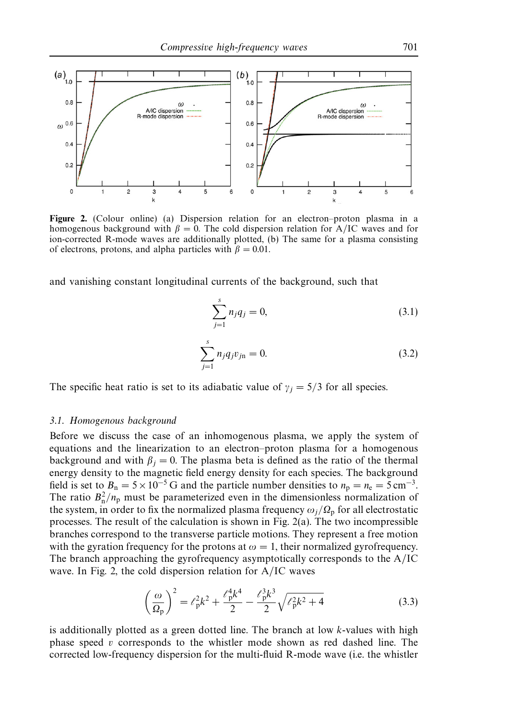

**Figure 2.** (Colour online) (a) Dispersion relation for an electron–proton plasma in a homogenous background with  $\beta = 0$ . The cold dispersion relation for A/IC waves and for ion-corrected R-mode waves are additionally plotted, (b) The same for a plasma consisting of electrons, protons, and alpha particles with  $\beta = 0.01$ .

and vanishing constant longitudinal currents of the background, such that

$$
\sum_{j=1}^{s} n_j q_j = 0,\t\t(3.1)
$$

$$
\sum_{j=1}^{s} n_j q_j v_{j\mathbf{n}} = 0. \tag{3.2}
$$

The specific heat ratio is set to its adiabatic value of  $\gamma_i = 5/3$  for all species.

#### 3.1. Homogenous background

Before we discuss the case of an inhomogenous plasma, we apply the system of equations and the linearization to an electron–proton plasma for a homogenous background and with  $\beta_j = 0$ . The plasma beta is defined as the ratio of the thermal energy density to the magnetic field energy density for each species. The background field is set to  $B_n = 5 \times 10^{-5}$  G and the particle number densities to  $n_p = n_e = 5 \text{ cm}^{-3}$ . The ratio  $B_n^2/n_p$  must be parameterized even in the dimensionless normalization of the system, in order to fix the normalized plasma frequency  $\omega_i/\Omega_p$  for all electrostatic processes. The result of the calculation is shown in Fig. 2(a). The two incompressible branches correspond to the transverse particle motions. They represent a free motion with the gyration frequency for the protons at  $\omega = 1$ , their normalized gyrofrequency. The branch approaching the gyrofrequency asymptotically corresponds to the A/IC wave. In Fig. 2, the cold dispersion relation for A/IC waves

$$
\left(\frac{\omega}{\Omega_{\rm p}}\right)^2 = \ell_{\rm p}^2 k^2 + \frac{\ell_{\rm p}^4 k^4}{2} - \frac{\ell_{\rm p}^3 k^3}{2} \sqrt{\ell_{\rm p}^2 k^2 + 4} \tag{3.3}
$$

is additionally plotted as a green dotted line. The branch at low *k*-values with high phase speed *v* corresponds to the whistler mode shown as red dashed line. The corrected low-frequency dispersion for the multi-fluid R-mode wave (i.e. the whistler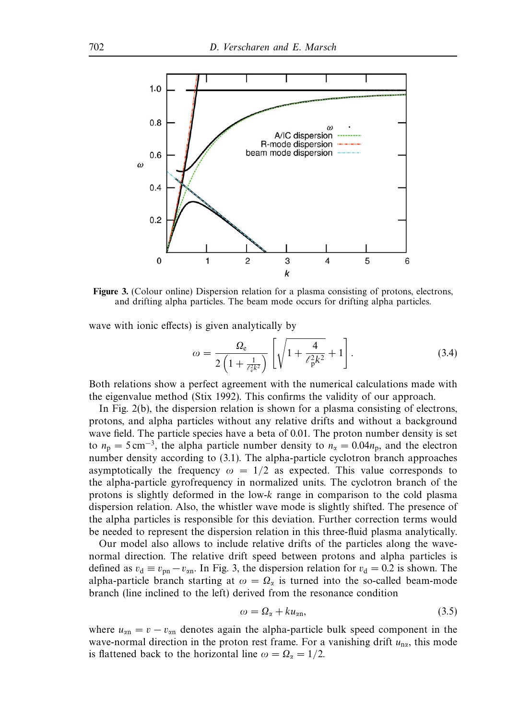

**Figure 3.** (Colour online) Dispersion relation for a plasma consisting of protons, electrons, and drifting alpha particles. The beam mode occurs for drifting alpha particles.

wave with ionic effects) is given analytically by

$$
\omega = \frac{\Omega_{\rm e}}{2\left(1 + \frac{1}{\ell_{\rm e}^2 k^2}\right)} \left[\sqrt{1 + \frac{4}{\ell_{\rm p}^2 k^2}} + 1\right].\tag{3.4}
$$

Both relations show a perfect agreement with the numerical calculations made with the eigenvalue method (Stix 1992). This confirms the validity of our approach.

In Fig. 2(b), the dispersion relation is shown for a plasma consisting of electrons, protons, and alpha particles without any relative drifts and without a background wave field. The particle species have a beta of 0.01. The proton number density is set to  $n_p = 5 \text{ cm}^{-3}$ , the alpha particle number density to  $n_\alpha = 0.04 n_p$ , and the electron number density according to (3.1). The alpha-particle cyclotron branch approaches asymptotically the frequency  $\omega = 1/2$  as expected. This value corresponds to the alpha-particle gyrofrequency in normalized units. The cyclotron branch of the protons is slightly deformed in the low-*k* range in comparison to the cold plasma dispersion relation. Also, the whistler wave mode is slightly shifted. The presence of the alpha particles is responsible for this deviation. Further correction terms would be needed to represent the dispersion relation in this three-fluid plasma analytically.

Our model also allows to include relative drifts of the particles along the wavenormal direction. The relative drift speed between protons and alpha particles is defined as  $v_d \equiv v_{pn} - v_{cn}$ . In Fig. 3, the dispersion relation for  $v_d = 0.2$  is shown. The alpha-particle branch starting at  $\omega = \Omega_{\alpha}$  is turned into the so-called beam-mode branch (line inclined to the left) derived from the resonance condition

$$
\omega = \Omega_{\alpha} + k u_{\alpha n},\tag{3.5}
$$

where  $u_{\alpha n} = v - v_{\alpha n}$  denotes again the alpha-particle bulk speed component in the wave-normal direction in the proton rest frame. For a vanishing drift  $u_{n\alpha}$ , this mode is flattened back to the horizontal line  $\omega = \Omega_{\alpha} = 1/2$ .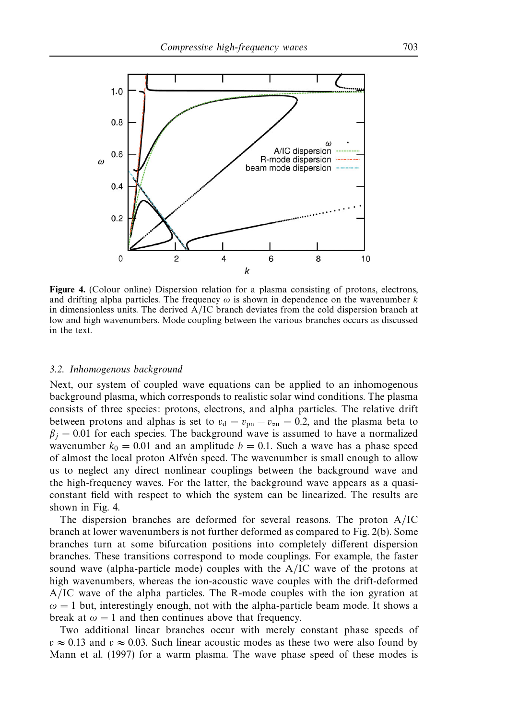

**Figure 4.** (Colour online) Dispersion relation for a plasma consisting of protons, electrons, and drifting alpha particles. The frequency  $\omega$  is shown in dependence on the wavenumber k in dimensionless units. The derived A/IC branch deviates from the cold dispersion branch at low and high wavenumbers. Mode coupling between the various branches occurs as discussed in the text.

#### 3.2. Inhomogenous background

Next, our system of coupled wave equations can be applied to an inhomogenous background plasma, which corresponds to realistic solar wind conditions. The plasma consists of three species: protons, electrons, and alpha particles. The relative drift between protons and alphas is set to  $v_d = v_{pn} - v_{\alpha n} = 0.2$ , and the plasma beta to  $\beta_i = 0.01$  for each species. The background wave is assumed to have a normalized wavenumber  $k_0 = 0.01$  and an amplitude  $b = 0.1$ . Such a wave has a phase speed of almost the local proton Alfvén speed. The wavenumber is small enough to allow us to neglect any direct nonlinear couplings between the background wave and the high-frequency waves. For the latter, the background wave appears as a quasiconstant field with respect to which the system can be linearized. The results are shown in Fig. 4.

The dispersion branches are deformed for several reasons. The proton A/IC branch at lower wavenumbers is not further deformed as compared to Fig. 2(b). Some branches turn at some bifurcation positions into completely different dispersion branches. These transitions correspond to mode couplings. For example, the faster sound wave (alpha-particle mode) couples with the A/IC wave of the protons at high wavenumbers, whereas the ion-acoustic wave couples with the drift-deformed A/IC wave of the alpha particles. The R-mode couples with the ion gyration at  $\omega = 1$  but, interestingly enough, not with the alpha-particle beam mode. It shows a break at  $\omega = 1$  and then continues above that frequency.

Two additional linear branches occur with merely constant phase speeds of  $v \approx 0.13$  and  $v \approx 0.03$ . Such linear acoustic modes as these two were also found by Mann et al. (1997) for a warm plasma. The wave phase speed of these modes is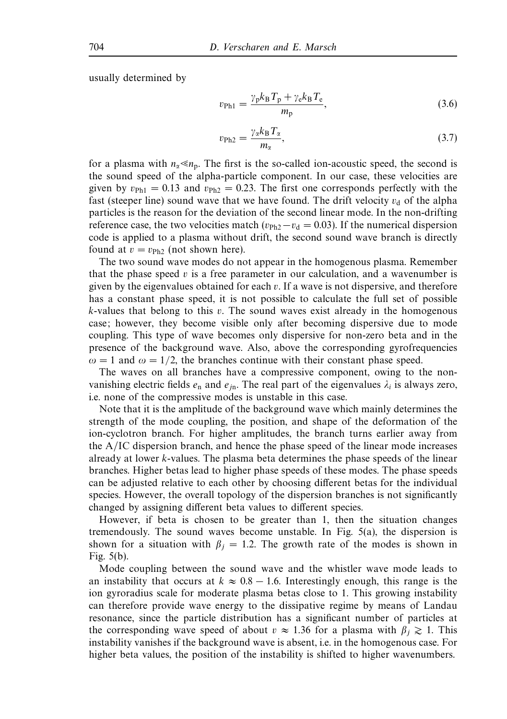usually determined by

$$
v_{\rm Ph1} = \frac{\gamma_{\rm p} k_{\rm B} T_{\rm p} + \gamma_{\rm e} k_{\rm B} T_{\rm e}}{m_{\rm p}},\tag{3.6}
$$

$$
v_{\rm Ph2} = \frac{\gamma_{\alpha} k_{\rm B} T_{\alpha}}{m_{\alpha}},\tag{3.7}
$$

for a plasma with  $n_\alpha \ll n_p$ . The first is the so-called ion-acoustic speed, the second is the sound speed of the alpha-particle component. In our case, these velocities are given by  $v_{\text{Ph1}} = 0.13$  and  $v_{\text{Ph2}} = 0.23$ . The first one corresponds perfectly with the fast (steeper line) sound wave that we have found. The drift velocity  $v<sub>d</sub>$  of the alpha particles is the reason for the deviation of the second linear mode. In the non-drifting reference case, the two velocities match ( $v_{Ph2}-v_d = 0.03$ ). If the numerical dispersion code is applied to a plasma without drift, the second sound wave branch is directly found at  $v = v_{\text{Ph2}}$  (not shown here).

The two sound wave modes do not appear in the homogenous plasma. Remember that the phase speed  $v$  is a free parameter in our calculation, and a wavenumber is given by the eigenvalues obtained for each *v*. If a wave is not dispersive, and therefore has a constant phase speed, it is not possible to calculate the full set of possible *k*-values that belong to this *v*. The sound waves exist already in the homogenous case; however, they become visible only after becoming dispersive due to mode coupling. This type of wave becomes only dispersive for non-zero beta and in the presence of the background wave. Also, above the corresponding gyrofrequencies  $\omega = 1$  and  $\omega = 1/2$ , the branches continue with their constant phase speed.

The waves on all branches have a compressive component, owing to the nonvanishing electric fields  $e_n$  and  $e_{in}$ . The real part of the eigenvalues  $\lambda_i$  is always zero, i.e. none of the compressive modes is unstable in this case.

Note that it is the amplitude of the background wave which mainly determines the strength of the mode coupling, the position, and shape of the deformation of the ion-cyclotron branch. For higher amplitudes, the branch turns earlier away from the A/IC dispersion branch, and hence the phase speed of the linear mode increases already at lower *k*-values. The plasma beta determines the phase speeds of the linear branches. Higher betas lead to higher phase speeds of these modes. The phase speeds can be adjusted relative to each other by choosing different betas for the individual species. However, the overall topology of the dispersion branches is not significantly changed by assigning different beta values to different species.

However, if beta is chosen to be greater than 1, then the situation changes tremendously. The sound waves become unstable. In Fig.  $5(a)$ , the dispersion is shown for a situation with  $\beta_i = 1.2$ . The growth rate of the modes is shown in Fig. 5(b).

Mode coupling between the sound wave and the whistler wave mode leads to an instability that occurs at  $k \approx 0.8 - 1.6$ . Interestingly enough, this range is the ion gyroradius scale for moderate plasma betas close to 1. This growing instability can therefore provide wave energy to the dissipative regime by means of Landau resonance, since the particle distribution has a significant number of particles at the corresponding wave speed of about  $v \approx 1.36$  for a plasma with  $\beta_i \ge 1$ . This instability vanishes if the background wave is absent, i.e. in the homogenous case. For higher beta values, the position of the instability is shifted to higher wavenumbers.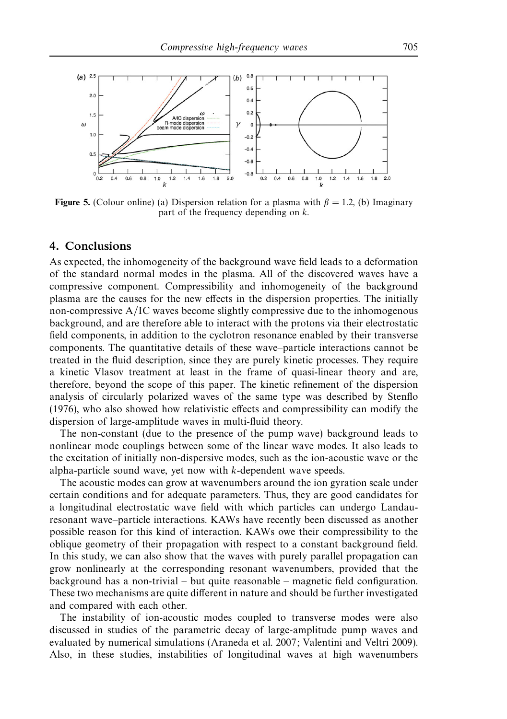

**Figure 5.** (Colour online) (a) Dispersion relation for a plasma with  $\beta = 1.2$ , (b) Imaginary part of the frequency depending on *k*.

## *4. Conclusions*

As expected, the inhomogeneity of the background wave field leads to a deformation of the standard normal modes in the plasma. All of the discovered waves have a compressive component. Compressibility and inhomogeneity of the background plasma are the causes for the new effects in the dispersion properties. The initially non-compressive A/IC waves become slightly compressive due to the inhomogenous background, and are therefore able to interact with the protons via their electrostatic field components, in addition to the cyclotron resonance enabled by their transverse components. The quantitative details of these wave–particle interactions cannot be treated in the fluid description, since they are purely kinetic processes. They require a kinetic Vlasov treatment at least in the frame of quasi-linear theory and are, therefore, beyond the scope of this paper. The kinetic refinement of the dispersion analysis of circularly polarized waves of the same type was described by Stenflo (1976), who also showed how relativistic effects and compressibility can modify the dispersion of large-amplitude waves in multi-fluid theory.

The non-constant (due to the presence of the pump wave) background leads to nonlinear mode couplings between some of the linear wave modes. It also leads to the excitation of initially non-dispersive modes, such as the ion-acoustic wave or the alpha-particle sound wave, yet now with *k*-dependent wave speeds.

The acoustic modes can grow at wavenumbers around the ion gyration scale under certain conditions and for adequate parameters. Thus, they are good candidates for a longitudinal electrostatic wave field with which particles can undergo Landauresonant wave–particle interactions. KAWs have recently been discussed as another possible reason for this kind of interaction. KAWs owe their compressibility to the oblique geometry of their propagation with respect to a constant background field. In this study, we can also show that the waves with purely parallel propagation can grow nonlinearly at the corresponding resonant wavenumbers, provided that the background has a non-trivial – but quite reasonable – magnetic field configuration. These two mechanisms are quite different in nature and should be further investigated and compared with each other.

The instability of ion-acoustic modes coupled to transverse modes were also discussed in studies of the parametric decay of large-amplitude pump waves and evaluated by numerical simulations (Araneda et al. 2007; Valentini and Veltri 2009). Also, in these studies, instabilities of longitudinal waves at high wavenumbers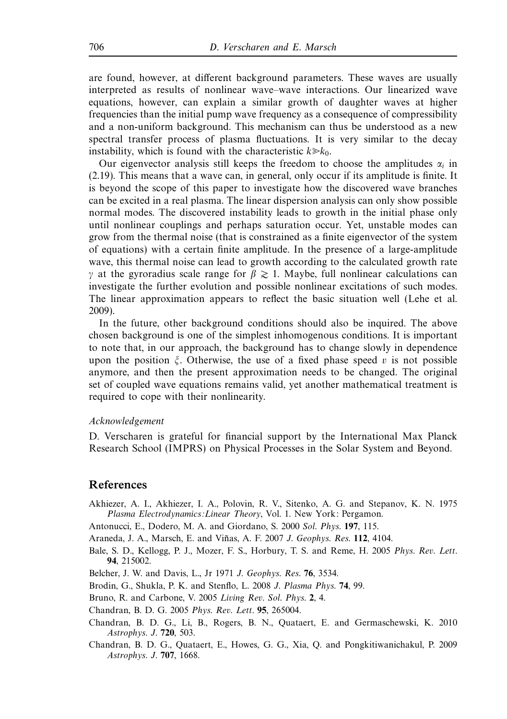are found, however, at different background parameters. These waves are usually interpreted as results of nonlinear wave–wave interactions. Our linearized wave equations, however, can explain a similar growth of daughter waves at higher frequencies than the initial pump wave frequency as a consequence of compressibility and a non-uniform background. This mechanism can thus be understood as a new spectral transfer process of plasma fluctuations. It is very similar to the decay instability, which is found with the characteristic  $k \ge k_0$ .

Our eigenvector analysis still keeps the freedom to choose the amplitudes  $\alpha_i$  in (2.19). This means that a wave can, in general, only occur if its amplitude is finite. It is beyond the scope of this paper to investigate how the discovered wave branches can be excited in a real plasma. The linear dispersion analysis can only show possible normal modes. The discovered instability leads to growth in the initial phase only until nonlinear couplings and perhaps saturation occur. Yet, unstable modes can grow from the thermal noise (that is constrained as a finite eigenvector of the system of equations) with a certain finite amplitude. In the presence of a large-amplitude wave, this thermal noise can lead to growth according to the calculated growth rate *γ* at the gyroradius scale range for  $β \ge 1$ . Maybe, full nonlinear calculations can investigate the further evolution and possible nonlinear excitations of such modes. The linear approximation appears to reflect the basic situation well (Lehe et al. 2009).

In the future, other background conditions should also be inquired. The above chosen background is one of the simplest inhomogenous conditions. It is important to note that, in our approach, the background has to change slowly in dependence upon the position  $\zeta$ . Otherwise, the use of a fixed phase speed *v* is not possible anymore, and then the present approximation needs to be changed. The original set of coupled wave equations remains valid, yet another mathematical treatment is required to cope with their nonlinearity.

### Acknowledgement

D. Verscharen is grateful for financial support by the International Max Planck Research School (IMPRS) on Physical Processes in the Solar System and Beyond.

## *References*

- Akhiezer, A. I., Akhiezer, I. A., Polovin, R. V., Sitenko, A. G. and Stepanov, K. N. 1975 Plasma Electrodynamics:Linear Theory, Vol. 1. New York: Pergamon.
- Antonucci, E., Dodero, M. A. and Giordano, S. 2000 Sol. Phys. **197**, 115.

Araneda, J. A., Marsch, E. and Viñas, A. F. 2007 J. Geophys. Res. 112, 4104.

Bale, S. D., Kellogg, P. J., Mozer, F. S., Horbury, T. S. and Reme, H. 2005 Phys. Rev. Lett. **94**, 215002.

Belcher, J. W. and Davis, L., Jr 1971 J. Geophys. Res. **76**, 3534.

Brodin, G., Shukla, P. K. and Stenflo, L. 2008 J. Plasma Phys. **74**, 99.

Bruno, R. and Carbone, V. 2005 Living Rev. Sol. Phys. **2**, 4.

Chandran, B. D. G. 2005 Phys. Rev. Lett. **95**, 265004.

- Chandran, B. D. G., Li, B., Rogers, B. N., Quataert, E. and Germaschewski, K. 2010 Astrophys. J. **720**, 503.
- Chandran, B. D. G., Quataert, E., Howes, G. G., Xia, Q. and Pongkitiwanichakul, P. 2009 Astrophys. J. **707**, 1668.